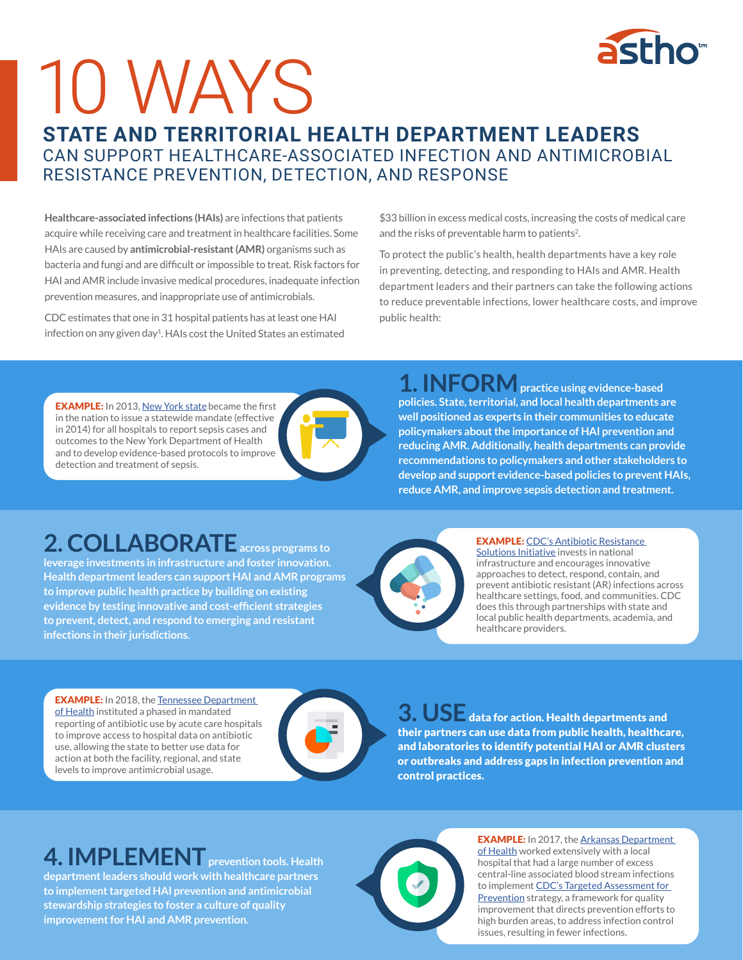

# 10 WAYS

#### **STATE AND TERRITORIAL HEALTH DEPARTMENT LEADERS**  CAN SUPPORT HEALTHCARE-ASSOCIATED INFECTION AND ANTIMICROBIAL RESISTANCE PREVENTION, DETECTION, AND RESPONSE

**Healthcare-associated infections (HAIs)** are infections that patients acquire while receiving care and treatment in healthcare facilities. Some HAIs are caused by **antimicrobial-resistant (AMR)** organisms such as bacteria and fungi and are difficult or impossible to treat. Risk factors for HAI and AMR include invasive medical procedures, inadequate infection prevention measures, and inappropriate use of antimicrobials.

CDC estimates that one in 31 hospital patients has at least one HAI infection on any given day<sup>1</sup>. HAIs cost the United States an estimated \$33 billion in excess medical costs, increasing the costs of medical care and the risks of preventable harm to patients<sup>2</sup>.

To protect the public's health, health departments have a key role in preventing, detecting, and responding to HAIs and AMR. Health department leaders and their partners can take the following actions to reduce preventable infections, lower healthcare costs, and improve public health:

**EXAMPLE:** In 2013, [New York stat](https://www.health.ny.gov/diseases/conditions/sepsis/)e became the first in the nation to issue a statewide mandate (effective in 2014) for all hospitals to report sepsis cases and outcomes to the New York Department of Health and to develop evidence-based protocols to improve detection and treatment of sepsis.

**1. INFORMpractice using evidence-based policies. State, territorial, and local health departments are well positioned as experts in their communities to educate policymakers about the importance of HAI prevention and reducing AMR. Additionally, health departments can provide recommendations to policymakers and other stakeholders to develop and support evidence-based policies to prevent HAIs, reduce AMR, and improve sepsis detection and treatment.** 

# **2. COLLABORATEacross programs to**

**leverage investments in infrastructure and foster innovation. Health department leaders can support HAI and AMR programs to improve public health practice by building on existing evidence by testing innovative and cost-efficient strategies to prevent, detect, and respond to emerging and resistant infections in their jurisdictions.** 



EXAMPLE: [CDC's Antibiotic Resistance](http://cdc.gov/drugresistance/solutions-initiative/index.html#anchor_1536324686313)  [Solutions Initiative](http://cdc.gov/drugresistance/solutions-initiative/index.html#anchor_1536324686313) invests in national infrastructure and encourages innovative approaches to detect, respond, contain, and prevent antibiotic resistant (AR) infections across healthcare settings, food, and communities. CDC does this through partnerships with state and local public health departments, academia, and healthcare providers.

**EXAMPLE:** In 2018, the Tennessee Department [of Health](https://www.tn.gov/content/dam/tn/health/documents/hai/antibiotic-stewardship/AUR_Supplemental_Final_10172018.pdf) instituted a phased in mandated reporting of antibiotic use by acute care hospitals to improve access to hospital data on antibiotic use, allowing the state to better use data for action at both the facility, regional, and state levels to improve antimicrobial usage.



**3. USE** data for action. Health departments and their partners can use data from public health, healthcare, and laboratories to identify potential HAI or AMR clusters or outbreaks and address gaps in infection prevention and control practices.

### **4. IMPLEMENT** prevention tools. Health

**department leaders should work with healthcare partners to implement targeted HAI prevention and antimicrobial stewardship strategies to foster a culture of quality improvement for HAI and AMR prevention.**



**EXAMPLE:** In 2017, the Arkansas Department [of Health](https://wwwn.cdc.gov/ARInvestments/PDFDocs/Arkansas-CDC-AR-Investments.pdf) worked extensively with a local hospital that had a large number of excess central-line associated blood stream infections to implement CDC's Targeted Assessment for [Prevention](https://www.cdc.gov/hai/prevent/tap.html) strategy, a framework for quality improvement that directs prevention efforts to high burden areas, to address infection control issues, resulting in fewer infections.